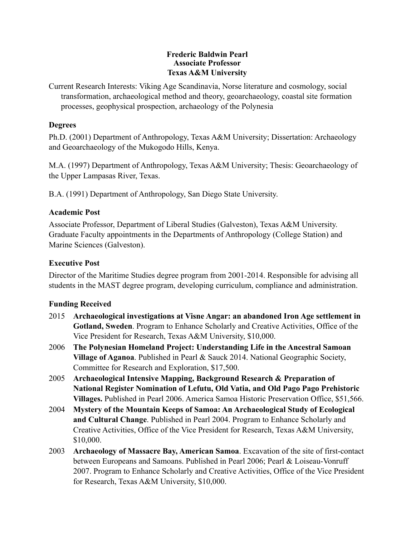## **Frederic Baldwin Pearl Associate Professor Texas A&M University**

Current Research Interests: Viking Age Scandinavia, Norse literature and cosmology, social transformation, archaeological method and theory, geoarchaeology, coastal site formation processes, geophysical prospection, archaeology of the Polynesia

## **Degrees**

Ph.D. (2001) Department of Anthropology, Texas A&M University; Dissertation: Archaeology and Geoarchaeology of the Mukogodo Hills, Kenya.

M.A. (1997) Department of Anthropology, Texas A&M University; Thesis: Geoarchaeology of the Upper Lampasas River, Texas.

B.A. (1991) Department of Anthropology, San Diego State University.

## **Academic Post**

Associate Professor, Department of Liberal Studies (Galveston), Texas A&M University. Graduate Faculty appointments in the Departments of Anthropology (College Station) and Marine Sciences (Galveston).

# **Executive Post**

Director of the Maritime Studies degree program from 2001-2014. Responsible for advising all students in the MAST degree program, developing curriculum, compliance and administration.

## **Funding Received**

- 2015 **Archaeological investigations at Visne Angar: an abandoned Iron Age settlement in Gotland, Sweden**. Program to Enhance Scholarly and Creative Activities, Office of the Vice President for Research, Texas A&M University, \$10,000.
- 2006 **The Polynesian Homeland Project: Understanding Life in the Ancestral Samoan Village of Aganoa**. Published in Pearl & Sauck 2014. National Geographic Society, Committee for Research and Exploration, \$17,500.
- 2005 **Archaeological Intensive Mapping, Background Research & Preparation of National Register Nomination of Lefutu, Old Vatia, and Old Pago Pago Prehistoric Villages.** Published in Pearl 2006. America Samoa Historic Preservation Office, \$51,566.
- 2004 **Mystery of the Mountain Keeps of Samoa: An Archaeological Study of Ecological and Cultural Change**. Published in Pearl 2004. Program to Enhance Scholarly and Creative Activities, Office of the Vice President for Research, Texas A&M University, \$10,000.
- 2003 **Archaeology of Massacre Bay, American Samoa**. Excavation of the site of first-contact between Europeans and Samoans. Published in Pearl 2006; Pearl & Loiseau-Vonruff 2007. Program to Enhance Scholarly and Creative Activities, Office of the Vice President for Research, Texas A&M University, \$10,000.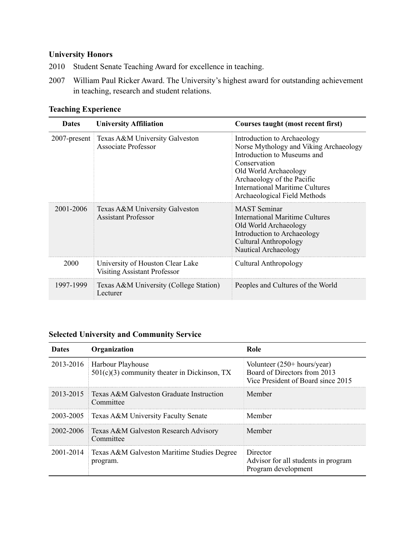# **University Honors**

- 2010 Student Senate Teaching Award for excellence in teaching.
- 2007 William Paul Ricker Award. The University's highest award for outstanding achievement in teaching, research and student relations.

## **Teaching Experience**

| <b>Dates</b> | <b>University Affiliation</b>                                           | Courses taught (most recent first)                                                                                                                                                                                                             |
|--------------|-------------------------------------------------------------------------|------------------------------------------------------------------------------------------------------------------------------------------------------------------------------------------------------------------------------------------------|
|              | 2007-present   Texas A&M University Galveston<br>Associate Professor    | Introduction to Archaeology<br>Norse Mythology and Viking Archaeology<br>Introduction to Museums and<br>Conservation<br>Old World Archaeology<br>Archaeology of the Pacific<br>International Maritime Cultures<br>Archaeological Field Methods |
| 2001-2006    | Texas A&M University Galveston<br><b>Assistant Professor</b>            | <b>MAST</b> Seminar<br>International Maritime Cultures<br>Old World Archaeology<br>Introduction to Archaeology<br><b>Cultural Anthropology</b><br>Nautical Archaeology                                                                         |
| 2000         | University of Houston Clear Lake<br><b>Visiting Assistant Professor</b> | Cultural Anthropology                                                                                                                                                                                                                          |
| 1997-1999    | Texas A&M University (College Station)<br>Lecturer                      | Peoples and Cultures of the World                                                                                                                                                                                                              |

# **Selected University and Community Service**

| Dates     | Organization                                                        | Role                                                                                                        |
|-----------|---------------------------------------------------------------------|-------------------------------------------------------------------------------------------------------------|
| 2013-2016 | Harbour Playhouse<br>$501(c)(3)$ community theater in Dickinson, TX | Volunteer $(250 + \text{hours/year})$<br>Board of Directors from 2013<br>Vice President of Board since 2015 |
| 2013-2015 | $\exists$ Texas A&M Galveston Graduate Instruction<br>Committee     | Member                                                                                                      |
|           | 2003-2005   Texas A&M University Faculty Senate                     | Member                                                                                                      |
| 2002-2006 | <b>Texas A&amp;M Galveston Research Advisory</b><br>Committee       | Member                                                                                                      |
| 2001-2014 | Texas A&M Galveston Maritime Studies Degree<br>program.             | Director<br>Advisor for all students in program<br>Program development                                      |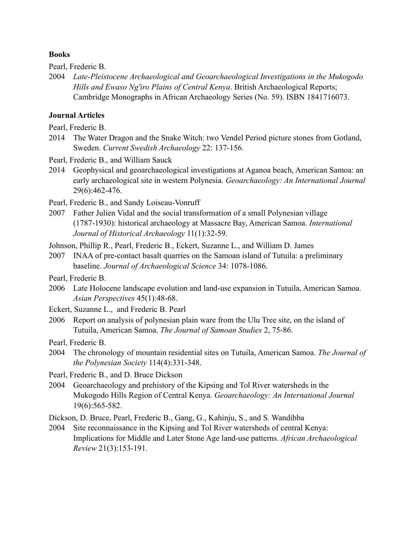#### **Books**

Pearl, Frederic B.

2004 *Late-Pleistocene Archaeological and Geoarchaeological Investigations in the Mukogodo Hills and Ewaso Ng'iro Plains of Central Kenya*. British Archaeological Reports; Cambridge Monographs in African Archaeology Series (No. 59). ISBN 1841716073.

### **Journal Articles**

Pearl, Frederic B.

- 2014 The Water Dragon and the Snake Witch: two Vendel Period picture stones from Gotland, Sweden. *Current Swedish Archaeology* 22: 137-156.
- Pearl, Frederic B., and William Sauck
- 2014 Geophysical and geoarchaeological investigations at Aganoa beach, American Samoa: an early archaeological site in western Polynesia. *Geoarchaeology: An International Journal* 29(6):462-476.

Pearl, Frederic B., and Sandy Loiseau-Vonruff

- 2007 Father Julien Vidal and the social transformation of a small Polynesian village (1787-1930): historical archaeology at Massacre Bay, American Samoa. *International Journal of Historical Archaeology* 11(1):32-59.
- Johnson, Phillip R., Pearl, Frederic B., Eckert, Suzanne L., and William D. James
- 2007 INAA of pre-contact basalt quarries on the Samoan island of Tutuila: a preliminary baseline. *Journal of Archaeological Science* 34: 1078-1086.
- Pearl, Frederic B.
- 2006 Late Holocene landscape evolution and land-use expansion in Tutuila, American Samoa. *Asian Perspectives* 45(1):48-68.
- Eckert, Suzanne L., and Frederic B. Pearl
- 2006 Report on analysis of polynesian plain ware from the Ulu Tree site, on the island of Tutuila, American Samoa. *The Journal of Samoan Studies* 2, 75-86.

Pearl, Frederic B.

- 2004 The chronology of mountain residential sites on Tutuila, American Samoa. *The Journal of the Polynesian Society* 114(4):331-348.
- Pearl, Frederic B., and D. Bruce Dickson
- 2004 Geoarchaeology and prehistory of the Kipsing and Tol River watersheds in the Mukogodo Hills Region of Central Kenya. *Geoarchaeology: An International Journal* 19(6):565-582.
- Dickson, D. Bruce, Pearl, Frederic B., Gang, G., Kahinju, S., and S. Wandibba
- 2004 Site reconnaissance in the Kipsing and Tol River watersheds of central Kenya: Implications for Middle and Later Stone Age land-use patterns. *African Archaeological Review* 21(3):153-191.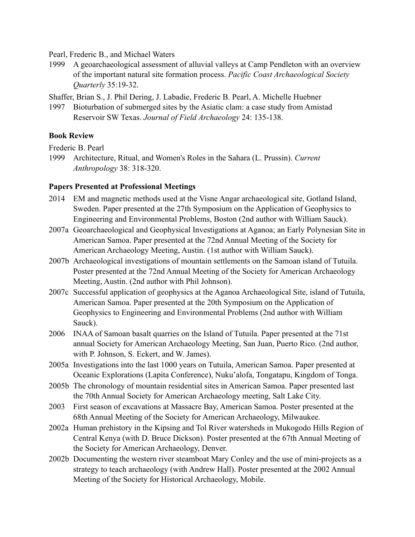Pearl, Frederic B., and Michael Waters

1999 A geoarchaeological assessment of alluvial valleys at Camp Pendleton with an overview of the important natural site formation process. *Pacific Coast Archaeological Society Quarterly* 35:19-32.

Shaffer, Brian S., J. Phil Dering, J. Labadie, Frederic B. Pearl, A. Michelle Huebner

1997 Bioturbation of submerged sites by the Asiatic clam: a case study from Amistad Reservoir SW Texas. *Journal of Field Archaeology* 24: 135-138.

### **Book Review**

Frederic B. Pearl

1999 Architecture, Ritual, and Women's Roles in the Sahara (L. Prussin). *Current Anthropology* 38: 318-320.

### **Papers Presented at Professional Meetings**

- 2014 EM and magnetic methods used at the Visne Angar archaeological site, Gotland Island, Sweden. Paper presented at the 27th Symposium on the Application of Geophysics to Engineering and Environmental Problems, Boston (2nd author with William Sauck).
- 2007a Geoarchaeological and Geophysical Investigations at Aganoa; an Early Polynesian Site in American Samoa. Paper presented at the 72nd Annual Meeting of the Society for American Archaeology Meeting, Austin. (1st author with William Sauck).
- 2007b Archaeological investigations of mountain settlements on the Samoan island of Tutuila. Poster presented at the 72nd Annual Meeting of the Society for American Archaeology Meeting, Austin. (2nd author with Phil Johnson).
- 2007c Successful application of geophysics at the Aganoa Archaeological Site, island of Tutuila, American Samoa. Paper presented at the 20th Symposium on the Application of Geophysics to Engineering and Environmental Problems (2nd author with William Sauck).
- 2006 INAA of Samoan basalt quarries on the Island of Tutuila. Paper presented at the 71st annual Society for American Archaeology Meeting, San Juan, Puerto Rico. (2nd author, with P. Johnson, S. Eckert, and W. James).
- 2005a Investigations into the last 1000 years on Tutuila, American Samoa. Paper presented at Oceanic Explorations (Lapita Conference), Nuku'alofa, Tongatapu, Kingdom of Tonga.
- 2005b The chronology of mountain residential sites in American Samoa. Paper presented last the 70th Annual Society for American Archaeology meeting, Salt Lake City.
- 2003 First season of excavations at Massacre Bay, American Samoa. Poster presented at the 68th Annual Meeting of the Society for American Archaeology, Milwaukee.
- 2002a Human prehistory in the Kipsing and Tol River watersheds in Mukogodo Hills Region of Central Kenya (with D. Bruce Dickson). Poster presented at the 67th Annual Meeting of the Society for American Archaeology, Denver.
- 2002b Documenting the western river steamboat Mary Conley and the use of mini-projects as a strategy to teach archaeology (with Andrew Hall). Poster presented at the 2002 Annual Meeting of the Society for Historical Archaeology, Mobile.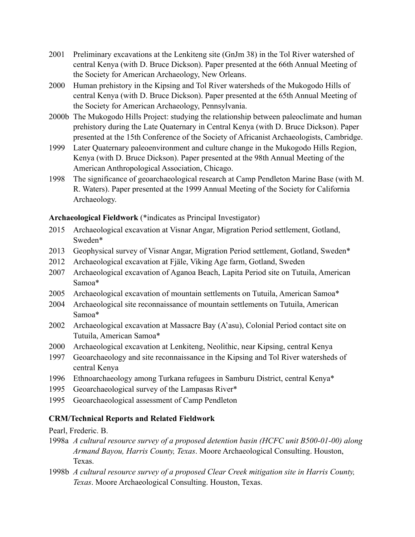- 2001 Preliminary excavations at the Lenkiteng site (GnJm 38) in the Tol River watershed of central Kenya (with D. Bruce Dickson). Paper presented at the 66th Annual Meeting of the Society for American Archaeology, New Orleans.
- 2000 Human prehistory in the Kipsing and Tol River watersheds of the Mukogodo Hills of central Kenya (with D. Bruce Dickson). Paper presented at the 65th Annual Meeting of the Society for American Archaeology, Pennsylvania.
- 2000b The Mukogodo Hills Project: studying the relationship between paleoclimate and human prehistory during the Late Quaternary in Central Kenya (with D. Bruce Dickson). Paper presented at the 15th Conference of the Society of Africanist Archaeologists, Cambridge.
- 1999 Later Quaternary paleoenvironment and culture change in the Mukogodo Hills Region, Kenya (with D. Bruce Dickson). Paper presented at the 98th Annual Meeting of the American Anthropological Association, Chicago.
- 1998 The significance of geoarchaeological research at Camp Pendleton Marine Base (with M. R. Waters). Paper presented at the 1999 Annual Meeting of the Society for California Archaeology.

**Archaeological Fieldwork** (\*indicates as Principal Investigator)

- 2015 Archaeological excavation at Visnar Angar, Migration Period settlement, Gotland, Sweden\*
- 2013 Geophysical survey of Visnar Angar, Migration Period settlement, Gotland, Sweden\*
- 2012 Archaeological excavation at Fjäle, Viking Age farm, Gotland, Sweden
- 2007 Archaeological excavation of Aganoa Beach, Lapita Period site on Tutuila, American Samoa\*
- 2005 Archaeological excavation of mountain settlements on Tutuila, American Samoa\*
- 2004 Archaeological site reconnaissance of mountain settlements on Tutuila, American Samoa\*
- 2002 Archaeological excavation at Massacre Bay (A'asu), Colonial Period contact site on Tutuila, American Samoa\*
- 2000 Archaeological excavation at Lenkiteng, Neolithic, near Kipsing, central Kenya
- 1997 Geoarchaeology and site reconnaissance in the Kipsing and Tol River watersheds of central Kenya
- 1996 Ethnoarchaeology among Turkana refugees in Samburu District, central Kenya\*
- 1995 Geoarchaeological survey of the Lampasas River\*
- 1995 Geoarchaeological assessment of Camp Pendleton

## **CRM/Technical Reports and Related Fieldwork**

Pearl, Frederic. B.

- 1998a *A cultural resource survey of a proposed detention basin (HCFC unit B500-01-00) along Armand Bayou, Harris County, Texas*. Moore Archaeological Consulting. Houston, Texas.
- 1998b *A cultural resource survey of a proposed Clear Creek mitigation site in Harris County, Texas*. Moore Archaeological Consulting. Houston, Texas.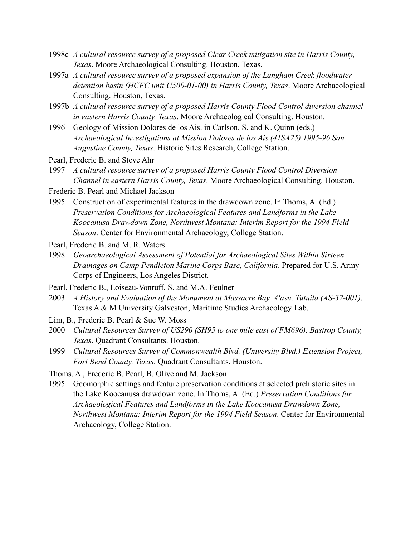- 1998c *A cultural resource survey of a proposed Clear Creek mitigation site in Harris County, Texas*. Moore Archaeological Consulting. Houston, Texas.
- 1997a *A cultural resource survey of a proposed expansion of the Langham Creek floodwater detention basin (HCFC unit U500-01-00) in Harris County, Texas*. Moore Archaeological Consulting. Houston, Texas.
- 1997b *A cultural resource survey of a proposed Harris County Flood Control diversion channel in eastern Harris County, Texas*. Moore Archaeological Consulting. Houston.
- 1996 Geology of Mission Dolores de los Ais. in Carlson, S. and K. Quinn (eds.) *Archaeological Investigations at Mission Dolores de los Ais (41SA25) 1995-96 San Augustine County, Texas*. Historic Sites Research, College Station.
- Pearl, Frederic B. and Steve Ahr
- 1997 *A cultural resource survey of a proposed Harris County Flood Control Diversion Channel in eastern Harris County, Texas*. Moore Archaeological Consulting. Houston.
- Frederic B. Pearl and Michael Jackson
- 1995 Construction of experimental features in the drawdown zone. In Thoms, A. (Ed.) *Preservation Conditions for Archaeological Features and Landforms in the Lake Koocanusa Drawdown Zone, Northwest Montana: Interim Report for the 1994 Field Season*. Center for Environmental Archaeology, College Station.
- Pearl, Frederic B. and M. R. Waters
- 1998 *Geoarchaeological Assessment of Potential for Archaeological Sites Within Sixteen Drainages on Camp Pendleton Marine Corps Base, California*. Prepared for U.S. Army Corps of Engineers, Los Angeles District.
- Pearl, Frederic B., Loiseau-Vonruff, S. and M.A. Feulner
- 2003 *A History and Evaluation of the Monument at Massacre Bay, A'asu, Tutuila (AS-32-001)*. Texas A & M University Galveston, Maritime Studies Archaeology Lab.
- Lim, B., Frederic B. Pearl & Sue W. Moss
- 2000 *Cultural Resources Survey of US290 (SH95 to one mile east of FM696), Bastrop County, Texas*. Quadrant Consultants. Houston.
- 1999 *Cultural Resources Survey of Commonwealth Blvd. (University Blvd.) Extension Project, Fort Bend County, Texas*. Quadrant Consultants. Houston.
- Thoms, A., Frederic B. Pearl, B. Olive and M. Jackson
- 1995 Geomorphic settings and feature preservation conditions at selected prehistoric sites in the Lake Koocanusa drawdown zone. In Thoms, A. (Ed.) *Preservation Conditions for Archaeological Features and Landforms in the Lake Koocanusa Drawdown Zone, Northwest Montana: Interim Report for the 1994 Field Season*. Center for Environmental Archaeology, College Station.